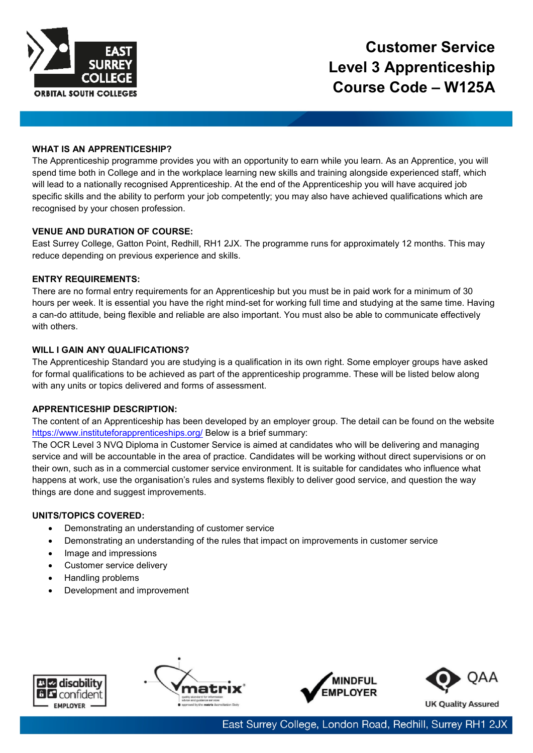

# **WHAT IS AN APPRENTICESHIP?**

The Apprenticeship programme provides you with an opportunity to earn while you learn. As an Apprentice, you will spend time both in College and in the workplace learning new skills and training alongside experienced staff, which will lead to a nationally recognised Apprenticeship. At the end of the Apprenticeship you will have acquired job specific skills and the ability to perform your job competently; you may also have achieved qualifications which are recognised by your chosen profession.

# **VENUE AND DURATION OF COURSE:**

East Surrey College, Gatton Point, Redhill, RH1 2JX. The programme runs for approximately 12 months. This may reduce depending on previous experience and skills.

# **ENTRY REQUIREMENTS:**

There are no formal entry requirements for an Apprenticeship but you must be in paid work for a minimum of 30 hours per week. It is essential you have the right mind-set for working full time and studying at the same time. Having a can-do attitude, being flexible and reliable are also important. You must also be able to communicate effectively with others.

## **WILL I GAIN ANY QUALIFICATIONS?**

The Apprenticeship Standard you are studying is a qualification in its own right. Some employer groups have asked for formal qualifications to be achieved as part of the apprenticeship programme. These will be listed below along with any units or topics delivered and forms of assessment.

# **APPRENTICESHIP DESCRIPTION:**

The content of an Apprenticeship has been developed by an employer group. The detail can be found on the website <https://www.instituteforapprenticeships.org/> Below is a brief summary:

The OCR Level 3 NVQ Diploma in Customer Service is aimed at candidates who will be delivering and managing service and will be accountable in the area of practice. Candidates will be working without direct supervisions or on their own, such as in a commercial customer service environment. It is suitable for candidates who influence what happens at work, use the organisation's rules and systems flexibly to deliver good service, and question the way things are done and suggest improvements.

## **UNITS/TOPICS COVERED:**

- Demonstrating an understanding of customer service
- Demonstrating an understanding of the rules that impact on improvements in customer service
- Image and impressions
- Customer service delivery
- Handling problems
- Development and improvement